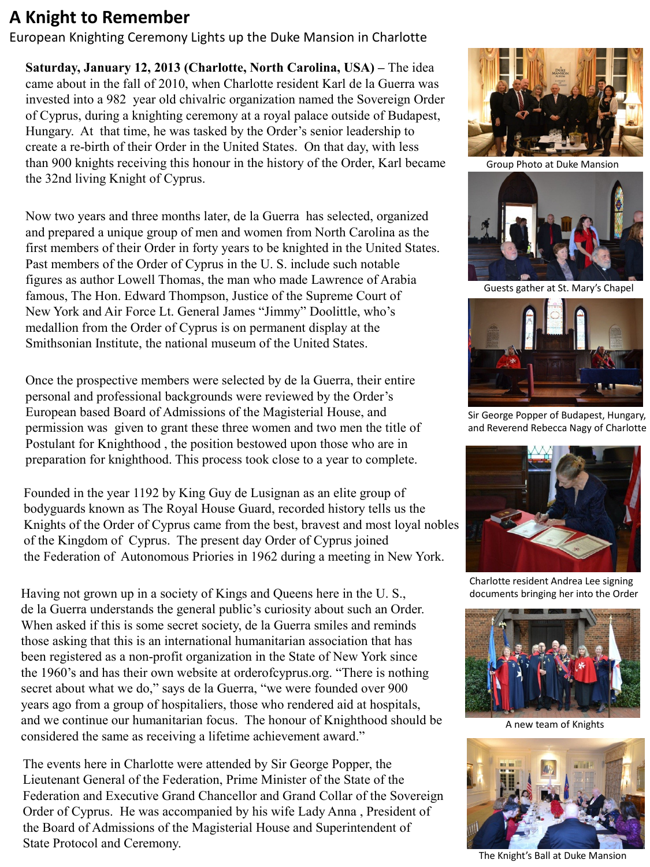# **A Knight to Remember**

European Knighting Ceremony Lights up the Duke Mansion in Charlotte

**Saturday, January 12, 2013 (Charlotte, North Carolina, USA) –** The idea came about in the fall of 2010, when Charlotte resident Karl de la Guerra was invested into a 982 year old chivalric organization named the Sovereign Order of Cyprus, during a knighting ceremony at a royal palace outside of Budapest, Hungary. At that time, he was tasked by the Order's senior leadership to create a re-birth of their Order in the United States. On that day, with less than 900 knights receiving this honour in the history of the Order, Karl became the 32nd living Knight of Cyprus.

Now two years and three months later, de la Guerra has selected, organized and prepared a unique group of men and women from North Carolina as the first members of their Order in forty years to be knighted in the United States. Past members of the Order of Cyprus in the U. S. include such notable figures as author Lowell Thomas, the man who made Lawrence of Arabia famous, The Hon. Edward Thompson, Justice of the Supreme Court of New York and Air Force Lt. General James "Jimmy" Doolittle, who's medallion from the Order of Cyprus is on permanent display at the Smithsonian Institute, the national museum of the United States.

 Once the prospective members were selected by de la Guerra, their entire personal and professional backgrounds were reviewed by the Order's European based Board of Admissions of the Magisterial House, and permission was given to grant these three women and two men the title of Postulant for Knighthood , the position bestowed upon those who are in preparation for knighthood. This process took close to a year to complete.

Founded in the year 1192 by King Guy de Lusignan as an elite group of bodyguards known as The Royal House Guard, recorded history tells us the Knights of the Order of Cyprus came from the best, bravest and most loyal nobles of the Kingdom of Cyprus. The present day Order of Cyprus joined the Federation of Autonomous Priories in 1962 during a meeting in New York.

Having not grown up in a society of Kings and Queens here in the U. S., de la Guerra understands the general public's curiosity about such an Order. When asked if this is some secret society, de la Guerra smiles and reminds those asking that this is an international humanitarian association that has been registered as a non-profit organization in the State of New York since the 1960's and has their own website at orderofcyprus.org. "There is nothing secret about what we do," says de la Guerra, "we were founded over 900 years ago from a group of hospitaliers, those who rendered aid at hospitals, and we continue our humanitarian focus. The honour of Knighthood should be considered the same as receiving a lifetime achievement award."

The events here in Charlotte were attended by Sir George Popper, the Lieutenant General of the Federation, Prime Minister of the State of the Federation and Executive Grand Chancellor and Grand Collar of the Sovereign Order of Cyprus. He was accompanied by his wife Lady Anna , President of the Board of Admissions of the Magisterial House and Superintendent of State Protocol and Ceremony.



Group Photo at Duke Mansion



Guests gather at St. Mary's Chapel



Sir George Popper of Budapest, Hungary, and Reverend Rebecca Nagy of Charlotte



Charlotte resident Andrea Lee signing documents bringing her into the Order



A new team of Knights



The Knight's Ball at Duke Mansion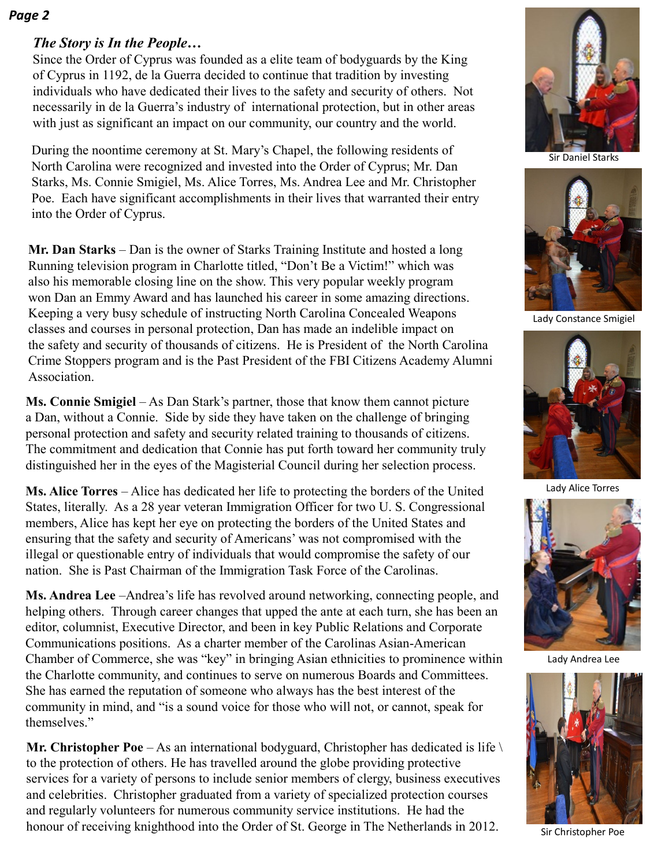#### *Page 2*

## *The Story is In the People…*

Since the Order of Cyprus was founded as a elite team of bodyguards by the King of Cyprus in 1192, de la Guerra decided to continue that tradition by investing individuals who have dedicated their lives to the safety and security of others. Not necessarily in de la Guerra's industry of international protection, but in other areas with just as significant an impact on our community, our country and the world.

During the noontime ceremony at St. Mary's Chapel, the following residents of North Carolina were recognized and invested into the Order of Cyprus; Mr. Dan Starks, Ms. Connie Smigiel, Ms. Alice Torres, Ms. Andrea Lee and Mr. Christopher Poe. Each have significant accomplishments in their lives that warranted their entry into the Order of Cyprus.

**Mr. Dan Starks** – Dan is the owner of Starks Training Institute and hosted a long Running television program in Charlotte titled, "Don't Be a Victim!" which was also his memorable closing line on the show. This very popular weekly program won Dan an Emmy Award and has launched his career in some amazing directions. Keeping a very busy schedule of instructing North Carolina Concealed Weapons classes and courses in personal protection, Dan has made an indelible impact on the safety and security of thousands of citizens. He is President of the North Carolina Crime Stoppers program and is the Past President of the FBI Citizens Academy Alumni **Association** 

**Ms. Connie Smigiel** – As Dan Stark's partner, those that know them cannot picture a Dan, without a Connie. Side by side they have taken on the challenge of bringing personal protection and safety and security related training to thousands of citizens. The commitment and dedication that Connie has put forth toward her community truly distinguished her in the eyes of the Magisterial Council during her selection process.

**Ms. Alice Torres** – Alice has dedicated her life to protecting the borders of the United States, literally. As a 28 year veteran Immigration Officer for two U. S. Congressional members, Alice has kept her eye on protecting the borders of the United States and ensuring that the safety and security of Americans' was not compromised with the illegal or questionable entry of individuals that would compromise the safety of our nation. She is Past Chairman of the Immigration Task Force of the Carolinas.

 **Ms. Andrea Lee** –Andrea's life has revolved around networking, connecting people, and helping others. Through career changes that upped the ante at each turn, she has been an editor, columnist, Executive Director, and been in key Public Relations and Corporate Communications positions. As a charter member of the Carolinas Asian-American Chamber of Commerce, she was "key" in bringing Asian ethnicities to prominence within the Charlotte community, and continues to serve on numerous Boards and Committees. She has earned the reputation of someone who always has the best interest of the community in mind, and "is a sound voice for those who will not, or cannot, speak for themselves."

**Mr. Christopher Poe** – As an international bodyguard, Christopher has dedicated is life  $\setminus$ to the protection of others. He has travelled around the globe providing protective services for a variety of persons to include senior members of clergy, business executives and celebrities. Christopher graduated from a variety of specialized protection courses and regularly volunteers for numerous community service institutions. He had the honour of receiving knighthood into the Order of St. George in The Netherlands in 2012.



Sir Daniel Starks



Lady Constance Smigiel



Lady Alice Torres



Lady Andrea Lee



Sir Christopher Poe